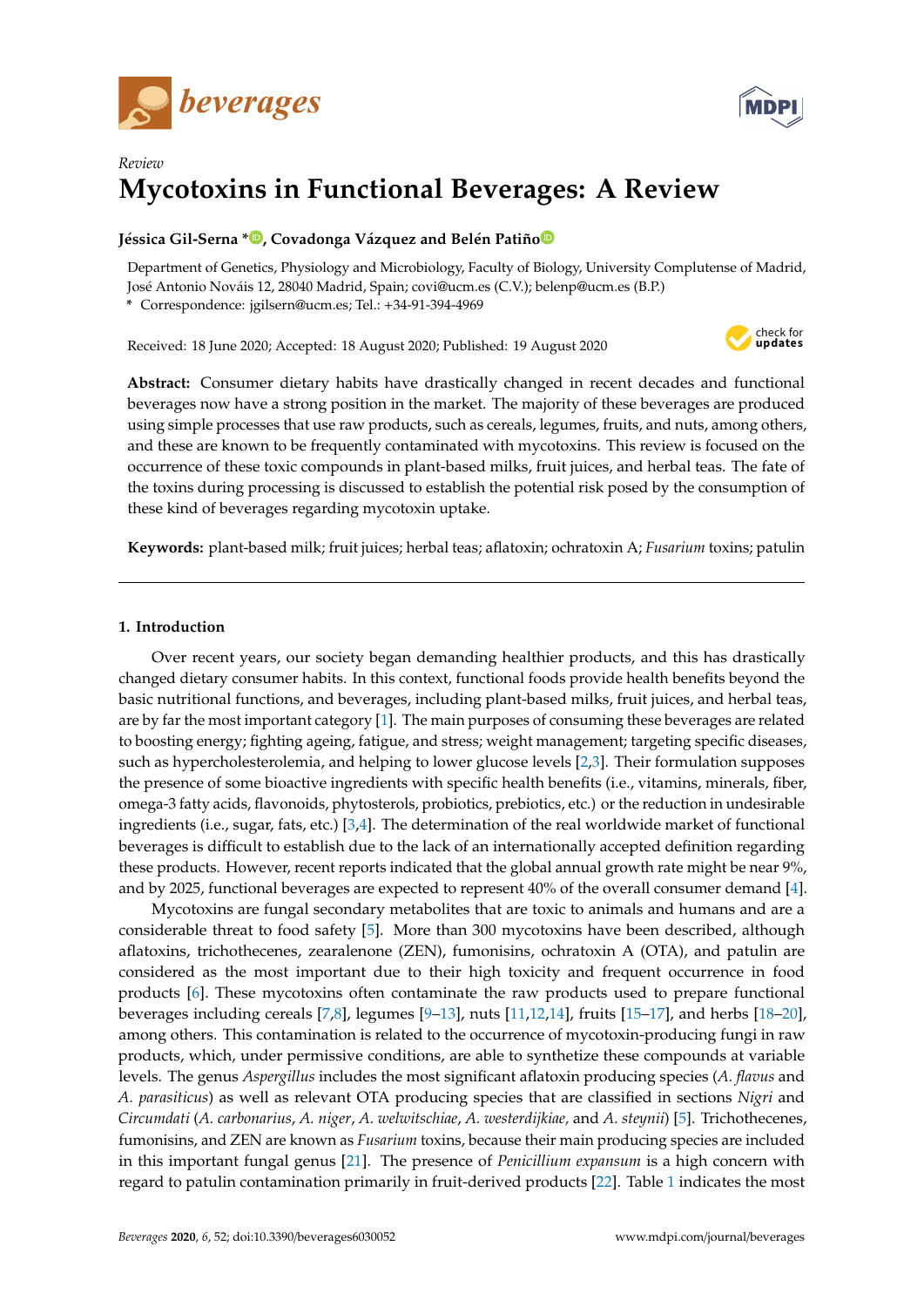



# *Review* **Mycotoxins in Functional Beverages: A Review**

# **Jéssica Gil-Serna \* [,](https://orcid.org/0000-0002-2113-1830) Covadonga Vázquez and Belén Patiñ[o](https://orcid.org/0000-0001-8568-9270)**

Department of Genetics, Physiology and Microbiology, Faculty of Biology, University Complutense of Madrid, José Antonio Nováis 12, 28040 Madrid, Spain; covi@ucm.es (C.V.); belenp@ucm.es (B.P.)

**\*** Correspondence: jgilsern@ucm.es; Tel.: +34-91-394-4969

Received: 18 June 2020; Accepted: 18 August 2020; Published: 19 August 2020



**Abstract:** Consumer dietary habits have drastically changed in recent decades and functional beverages now have a strong position in the market. The majority of these beverages are produced using simple processes that use raw products, such as cereals, legumes, fruits, and nuts, among others, and these are known to be frequently contaminated with mycotoxins. This review is focused on the occurrence of these toxic compounds in plant-based milks, fruit juices, and herbal teas. The fate of the toxins during processing is discussed to establish the potential risk posed by the consumption of these kind of beverages regarding mycotoxin uptake.

**Keywords:** plant-based milk; fruit juices; herbal teas; aflatoxin; ochratoxin A; *Fusarium* toxins; patulin

# **1. Introduction**

Over recent years, our society began demanding healthier products, and this has drastically changed dietary consumer habits. In this context, functional foods provide health benefits beyond the basic nutritional functions, and beverages, including plant-based milks, fruit juices, and herbal teas, are by far the most important category [\[1\]](#page-7-0). The main purposes of consuming these beverages are related to boosting energy; fighting ageing, fatigue, and stress; weight management; targeting specific diseases, such as hypercholesterolemia, and helping to lower glucose levels [\[2,](#page-7-1)[3\]](#page-7-2). Their formulation supposes the presence of some bioactive ingredients with specific health benefits (i.e., vitamins, minerals, fiber, omega-3 fatty acids, flavonoids, phytosterols, probiotics, prebiotics, etc.) or the reduction in undesirable ingredients (i.e., sugar, fats, etc.) [\[3,](#page-7-2)[4\]](#page-7-3). The determination of the real worldwide market of functional beverages is difficult to establish due to the lack of an internationally accepted definition regarding these products. However, recent reports indicated that the global annual growth rate might be near 9%, and by 2025, functional beverages are expected to represent 40% of the overall consumer demand [\[4\]](#page-7-3).

Mycotoxins are fungal secondary metabolites that are toxic to animals and humans and are a considerable threat to food safety [\[5\]](#page-7-4). More than 300 mycotoxins have been described, although aflatoxins, trichothecenes, zearalenone (ZEN), fumonisins, ochratoxin A (OTA), and patulin are considered as the most important due to their high toxicity and frequent occurrence in food products [\[6\]](#page-7-5). These mycotoxins often contaminate the raw products used to prepare functional beverages including cereals [\[7](#page-7-6)[,8\]](#page-7-7), legumes [\[9–](#page-7-8)[13\]](#page-7-9), nuts [\[11](#page-7-10)[,12](#page-7-11)[,14\]](#page-7-12), fruits [\[15–](#page-7-13)[17\]](#page-7-14), and herbs [\[18](#page-8-0)[–20\]](#page-8-1), among others. This contamination is related to the occurrence of mycotoxin-producing fungi in raw products, which, under permissive conditions, are able to synthetize these compounds at variable levels. The genus *Aspergillus* includes the most significant aflatoxin producing species (*A. flavus* and *A. parasiticus*) as well as relevant OTA producing species that are classified in sections *Nigri* and *Circumdati* (*A. carbonarius*, *A. niger*, *A. welwitschiae*, *A. westerdijkiae,* and *A. steynii*) [\[5\]](#page-7-4). Trichothecenes, fumonisins, and ZEN are known as *Fusarium* toxins, because their main producing species are included in this important fungal genus [\[21\]](#page-8-2). The presence of *Penicillium expansum* is a high concern with regard to patulin contamination primarily in fruit-derived products [\[22\]](#page-8-3). Table [1](#page-1-0) indicates the most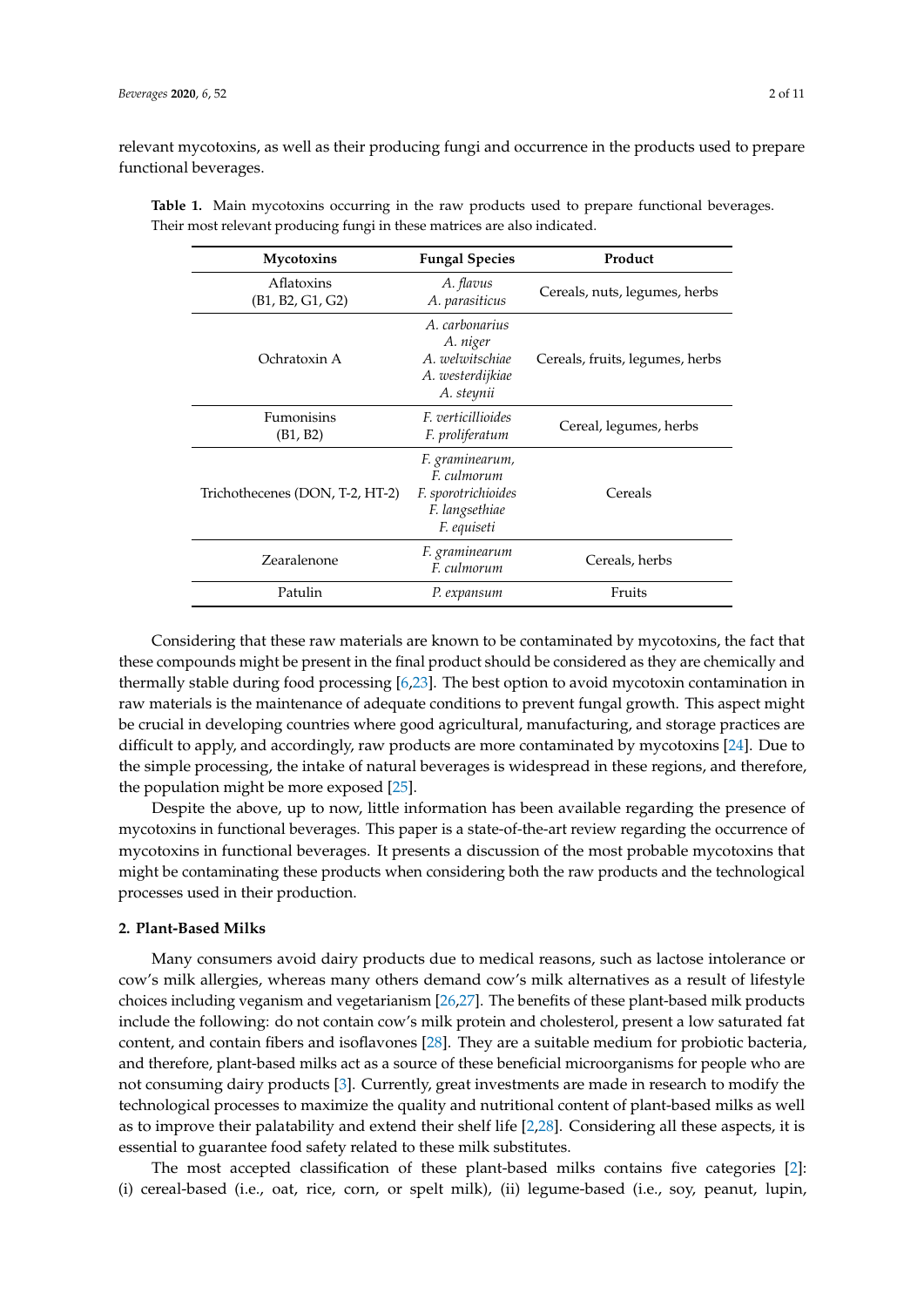relevant mycotoxins, as well as their producing fungi and occurrence in the products used to prepare functional beverages.

| Mycotoxins                      | <b>Fungal Species</b>                                                                  | Product                         |
|---------------------------------|----------------------------------------------------------------------------------------|---------------------------------|
| Aflatoxins<br>(B1, B2, G1, G2)  | A. flavus<br>A. parasiticus                                                            | Cereals, nuts, legumes, herbs   |
| Ochratoxin A                    | A. carbonarius<br>A. niger<br>A. welwitschiae<br>A. westerdijkiae<br>A. steynii        | Cereals, fruits, legumes, herbs |
| Fumonisins<br>(B1, B2)          | <i>F. verticillioides</i><br>F. proliferatum                                           | Cereal, legumes, herbs          |
| Trichothecenes (DON, T-2, HT-2) | F. graminearum,<br>F. culmorum<br>F. sporotrichioides<br>F. langsethiae<br>F. equiseti | Cereals                         |
| Zearalenone                     | F. graminearum<br>F. culmorum                                                          | Cereals, herbs                  |
| Patulin                         | P. expansum                                                                            | Fruits                          |

<span id="page-1-0"></span>**Table 1.** Main mycotoxins occurring in the raw products used to prepare functional beverages. Their most relevant producing fungi in these matrices are also indicated.

Considering that these raw materials are known to be contaminated by mycotoxins, the fact that these compounds might be present in the final product should be considered as they are chemically and thermally stable during food processing [\[6](#page-7-5)[,23\]](#page-8-4). The best option to avoid mycotoxin contamination in raw materials is the maintenance of adequate conditions to prevent fungal growth. This aspect might be crucial in developing countries where good agricultural, manufacturing, and storage practices are difficult to apply, and accordingly, raw products are more contaminated by mycotoxins [\[24\]](#page-8-5). Due to the simple processing, the intake of natural beverages is widespread in these regions, and therefore, the population might be more exposed [\[25\]](#page-8-6).

Despite the above, up to now, little information has been available regarding the presence of mycotoxins in functional beverages. This paper is a state-of-the-art review regarding the occurrence of mycotoxins in functional beverages. It presents a discussion of the most probable mycotoxins that might be contaminating these products when considering both the raw products and the technological processes used in their production.

#### **2. Plant-Based Milks**

Many consumers avoid dairy products due to medical reasons, such as lactose intolerance or cow's milk allergies, whereas many others demand cow's milk alternatives as a result of lifestyle choices including veganism and vegetarianism [\[26,](#page-8-7)[27\]](#page-8-8). The benefits of these plant-based milk products include the following: do not contain cow's milk protein and cholesterol, present a low saturated fat content, and contain fibers and isoflavones [\[28\]](#page-8-9). They are a suitable medium for probiotic bacteria, and therefore, plant-based milks act as a source of these beneficial microorganisms for people who are not consuming dairy products [\[3\]](#page-7-2). Currently, great investments are made in research to modify the technological processes to maximize the quality and nutritional content of plant-based milks as well as to improve their palatability and extend their shelf life [\[2](#page-7-1)[,28\]](#page-8-9). Considering all these aspects, it is essential to guarantee food safety related to these milk substitutes.

The most accepted classification of these plant-based milks contains five categories [\[2\]](#page-7-1): (i) cereal-based (i.e., oat, rice, corn, or spelt milk), (ii) legume-based (i.e., soy, peanut, lupin,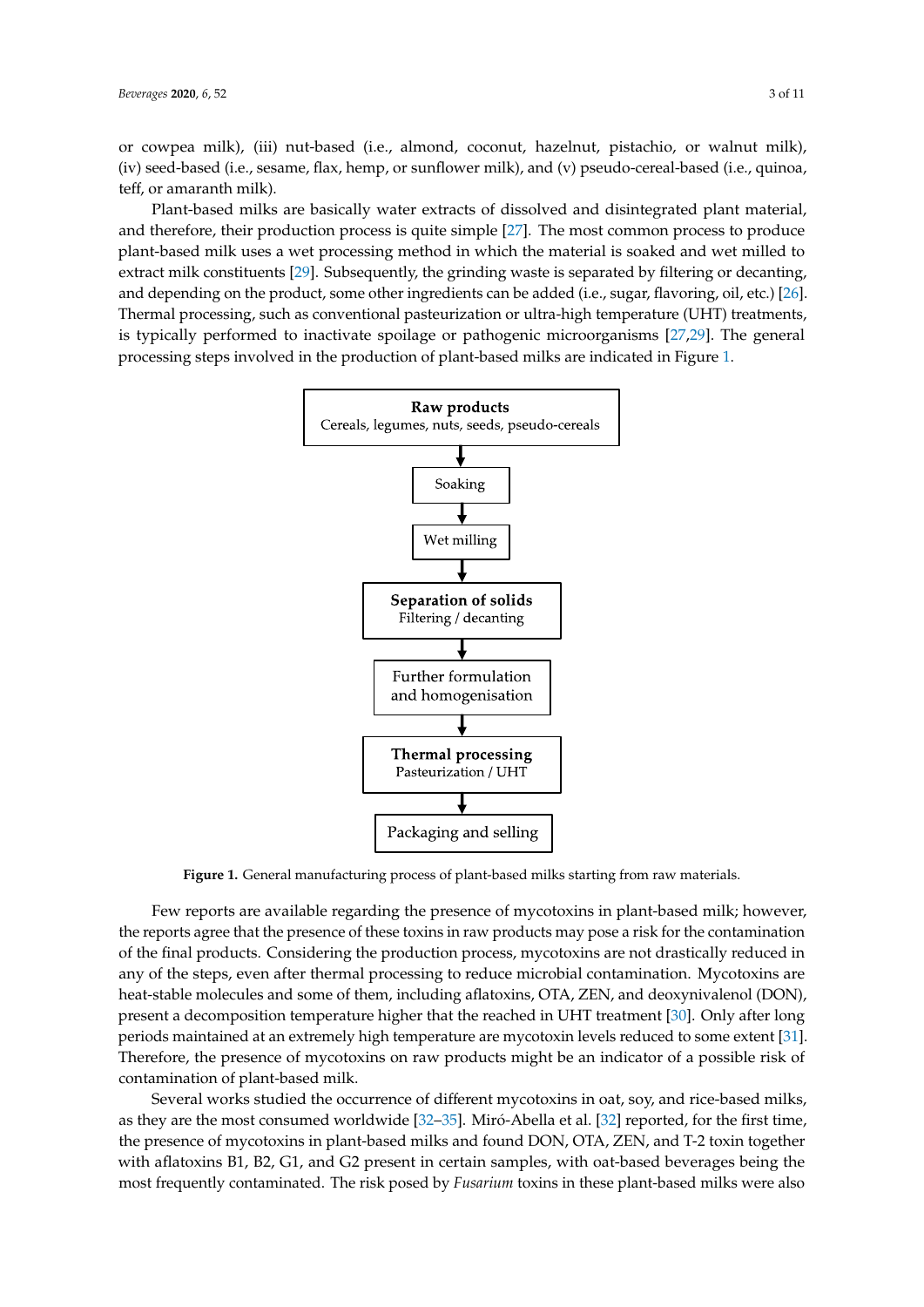or cowpea milk), (iii) nut-based (i.e., almond, coconut, hazelnut, pistachio, or walnut milk), (iv) seed-based (i.e., sesame, flax, hemp, or sunflower milk), and (v) pseudo-cereal-based (i.e., quinoa, teff, or amaranth milk). (iii) nut-based (i.e., almond, coconut, hazelnut, pistachio, or walnut milk), (iv) seed-based (i.e.,  $\sigma$  cowpea  $\min$ ,  $\min$  nur-based  $\left(\text{i.e., a}}\right)$  coconut, nazelitur, pistachio, or walled  $\min$ , Plant-based milks are basically water extracts of dissolved and disintegrated plant material, and

Plant-based milks are basically water extracts of dissolved and disintegrated plant material, and therefore, their production process is quite simple [\[27\]](#page-8-8). The most common process to produce plant-based milk uses a wet processing method in which the material is soaked and wet milled to extract milk constituents [\[29\]](#page-8-10). Subsequently, the grinding waste is separated by filtering or decanting, indeed (i.e., subsequently, the product of the product of the product of the product of the product of the product of and depending on the product, some other ingredients can be added (i.e., sugar, flavoring, oil, etc.) [\[26\]](#page-8-7). Thermal processing, such as conventional pasteurization or ultra-high temperature (UHT) treatments, is the inaction of the inaction of the individual performance or pathogenic microorganisms in the individual microorganism is typically performed to inactivate spoilage or pathogenic microorganisms [\[27,](#page-8-8)[29\]](#page-8-10). The general processing steps involved in the production of plant-based milks are indicated in Figure [1.](#page-2-0) therefore, the production production production production production production production produce plant-model

<span id="page-2-0"></span>

**Figure 1.** General manufacturing process of plant-based milks starting from raw materials.

the reports agree that the presence of these toxins in raw products may pose a risk for the contamination of the final products. Considering the production process, mycotoxins are not drastically reduced in any of the steps, even after thermal processing to reduce microbial contamination. Mycotoxins are heat-stable molecules and some of them, including aflatoxins, OTA, ZEN, and deoxynivalenol (DON), present a decomposition temperature higher that the reached in UHT treatment [30]. Only after long periods maintained at an extremely high temperature are mycotoxin levels reduced to some extent [31]. Therefore, the presence of mycotoxins on raw products might be an indicator of a possible risk of contamination of plant-based milk. The presence of my contamination of plant-based milk. Few reports are available regarding the presence of mycotoxins in plant-based milk; however,

Several works studied the occurrence of different mycotoxins in oat, soy, and rice-based milks, as they are the most consumed worldwide [\[32–](#page-8-13)[35\]](#page-8-14). Miró-Abella et al. [\[32\]](#page-8-13) reported, for the first time, the presence of mycotoxins in plant-based milks and found DON, OTA, ZEN, and T-2 toxin together with aflatoxins B1, B2, G1, and G2 present in certain samples, with oat-based beverages being the most frequently contaminated. The risk posed by *Fusarium* toxins in these plant-based milks were also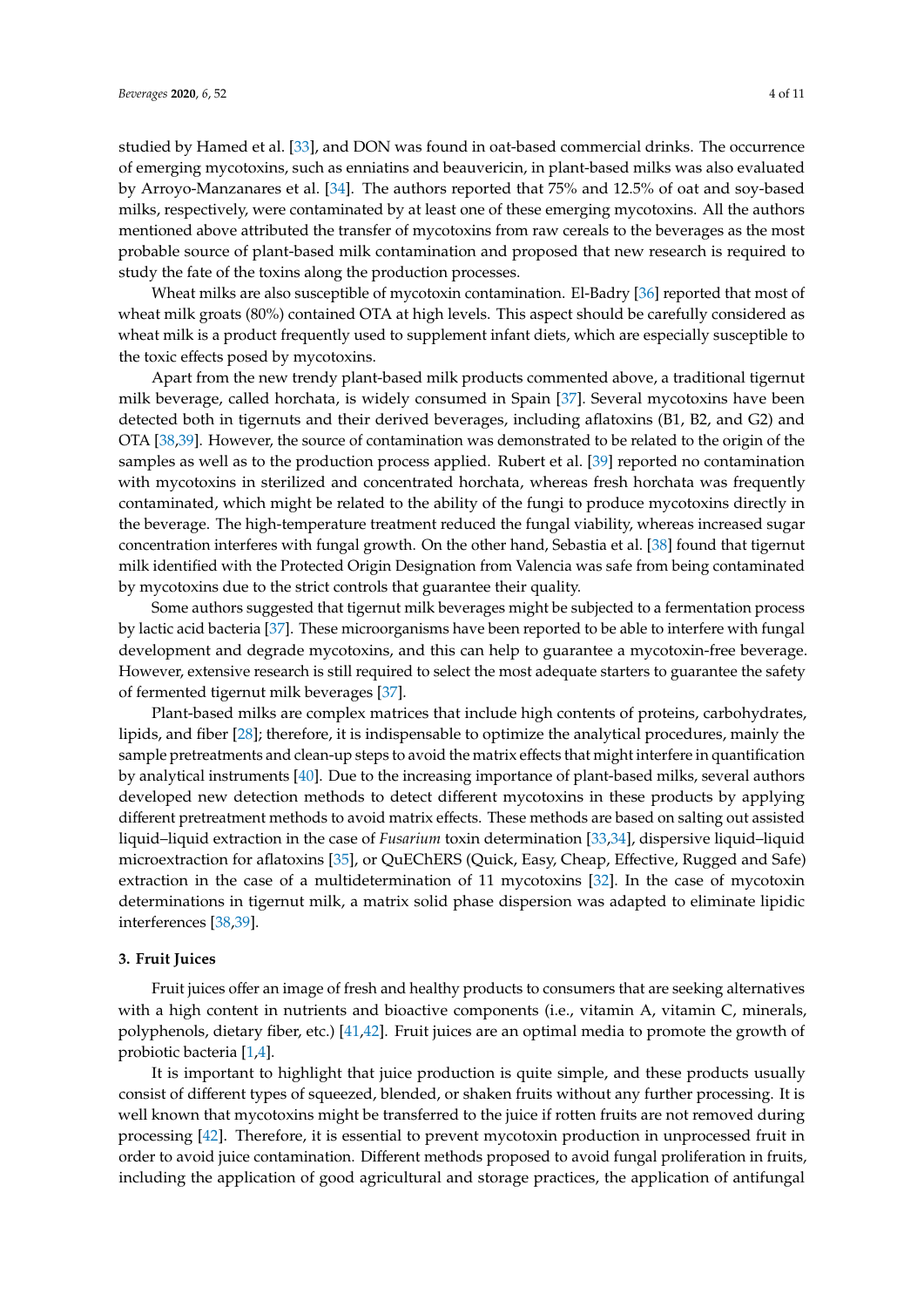studied by Hamed et al. [\[33\]](#page-8-15), and DON was found in oat-based commercial drinks. The occurrence of emerging mycotoxins, such as enniatins and beauvericin, in plant-based milks was also evaluated by Arroyo-Manzanares et al. [\[34\]](#page-8-16). The authors reported that 75% and 12.5% of oat and soy-based milks, respectively, were contaminated by at least one of these emerging mycotoxins. All the authors mentioned above attributed the transfer of mycotoxins from raw cereals to the beverages as the most probable source of plant-based milk contamination and proposed that new research is required to study the fate of the toxins along the production processes.

Wheat milks are also susceptible of mycotoxin contamination. El-Badry [\[36\]](#page-8-17) reported that most of wheat milk groats (80%) contained OTA at high levels. This aspect should be carefully considered as wheat milk is a product frequently used to supplement infant diets, which are especially susceptible to the toxic effects posed by mycotoxins.

Apart from the new trendy plant-based milk products commented above, a traditional tigernut milk beverage, called horchata, is widely consumed in Spain [\[37\]](#page-8-18). Several mycotoxins have been detected both in tigernuts and their derived beverages, including aflatoxins (B1, B2, and G2) and OTA [\[38,](#page-8-19)[39\]](#page-9-0). However, the source of contamination was demonstrated to be related to the origin of the samples as well as to the production process applied. Rubert et al. [\[39\]](#page-9-0) reported no contamination with mycotoxins in sterilized and concentrated horchata, whereas fresh horchata was frequently contaminated, which might be related to the ability of the fungi to produce mycotoxins directly in the beverage. The high-temperature treatment reduced the fungal viability, whereas increased sugar concentration interferes with fungal growth. On the other hand, Sebastia et al. [\[38\]](#page-8-19) found that tigernut milk identified with the Protected Origin Designation from Valencia was safe from being contaminated by mycotoxins due to the strict controls that guarantee their quality.

Some authors suggested that tigernut milk beverages might be subjected to a fermentation process by lactic acid bacteria [\[37\]](#page-8-18). These microorganisms have been reported to be able to interfere with fungal development and degrade mycotoxins, and this can help to guarantee a mycotoxin-free beverage. However, extensive research is still required to select the most adequate starters to guarantee the safety of fermented tigernut milk beverages [\[37\]](#page-8-18).

Plant-based milks are complex matrices that include high contents of proteins, carbohydrates, lipids, and fiber [\[28\]](#page-8-9); therefore, it is indispensable to optimize the analytical procedures, mainly the sample pretreatments and clean-up steps to avoid the matrix effects that might interfere in quantification by analytical instruments [\[40\]](#page-9-1). Due to the increasing importance of plant-based milks, several authors developed new detection methods to detect different mycotoxins in these products by applying different pretreatment methods to avoid matrix effects. These methods are based on salting out assisted liquid–liquid extraction in the case of *Fusarium* toxin determination [\[33,](#page-8-15)[34\]](#page-8-16), dispersive liquid–liquid microextraction for aflatoxins [\[35\]](#page-8-14), or QuEChERS (Quick, Easy, Cheap, Effective, Rugged and Safe) extraction in the case of a multidetermination of 11 mycotoxins [\[32\]](#page-8-13). In the case of mycotoxin determinations in tigernut milk, a matrix solid phase dispersion was adapted to eliminate lipidic interferences [\[38](#page-8-19)[,39\]](#page-9-0).

#### **3. Fruit Juices**

Fruit juices offer an image of fresh and healthy products to consumers that are seeking alternatives with a high content in nutrients and bioactive components (i.e., vitamin A, vitamin C, minerals, polyphenols, dietary fiber, etc.) [\[41](#page-9-2)[,42\]](#page-9-3). Fruit juices are an optimal media to promote the growth of probiotic bacteria [\[1](#page-7-0)[,4\]](#page-7-3).

It is important to highlight that juice production is quite simple, and these products usually consist of different types of squeezed, blended, or shaken fruits without any further processing. It is well known that mycotoxins might be transferred to the juice if rotten fruits are not removed during processing [\[42\]](#page-9-3). Therefore, it is essential to prevent mycotoxin production in unprocessed fruit in order to avoid juice contamination. Different methods proposed to avoid fungal proliferation in fruits, including the application of good agricultural and storage practices, the application of antifungal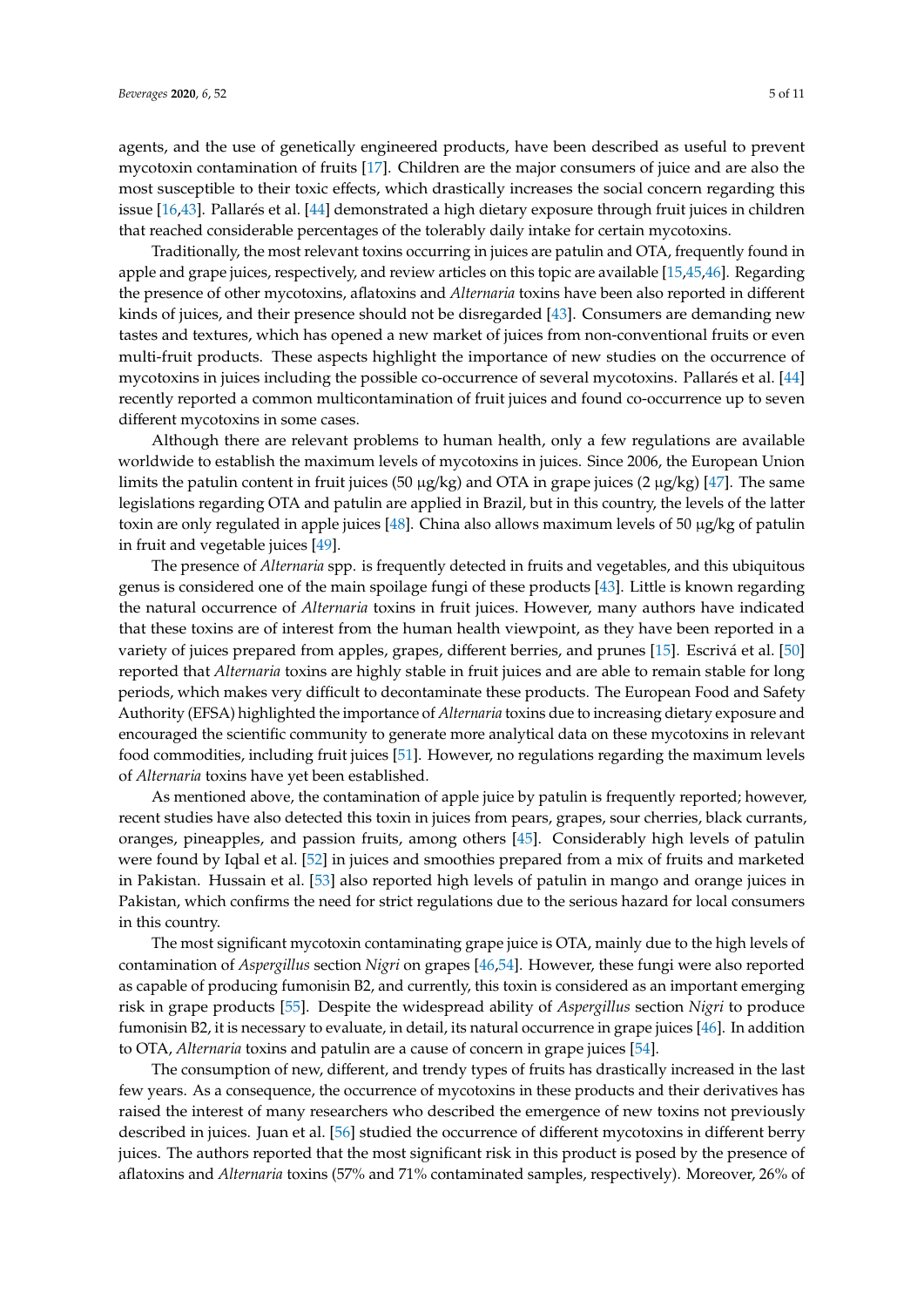agents, and the use of genetically engineered products, have been described as useful to prevent mycotoxin contamination of fruits [\[17\]](#page-7-14). Children are the major consumers of juice and are also the most susceptible to their toxic effects, which drastically increases the social concern regarding this issue [\[16](#page-7-15)[,43\]](#page-9-4). Pallarés et al. [\[44\]](#page-9-5) demonstrated a high dietary exposure through fruit juices in children that reached considerable percentages of the tolerably daily intake for certain mycotoxins.

Traditionally, the most relevant toxins occurring in juices are patulin and OTA, frequently found in apple and grape juices, respectively, and review articles on this topic are available [\[15,](#page-7-13)[45,](#page-9-6)[46\]](#page-9-7). Regarding the presence of other mycotoxins, aflatoxins and *Alternaria* toxins have been also reported in different kinds of juices, and their presence should not be disregarded [\[43\]](#page-9-4). Consumers are demanding new tastes and textures, which has opened a new market of juices from non-conventional fruits or even multi-fruit products. These aspects highlight the importance of new studies on the occurrence of mycotoxins in juices including the possible co-occurrence of several mycotoxins. Pallarés et al. [\[44\]](#page-9-5) recently reported a common multicontamination of fruit juices and found co-occurrence up to seven different mycotoxins in some cases.

Although there are relevant problems to human health, only a few regulations are available worldwide to establish the maximum levels of mycotoxins in juices. Since 2006, the European Union limits the patulin content in fruit juices (50  $\mu$ g/kg) and OTA in grape juices (2  $\mu$ g/kg) [\[47\]](#page-9-8). The same legislations regarding OTA and patulin are applied in Brazil, but in this country, the levels of the latter toxin are only regulated in apple juices [\[48\]](#page-9-9). China also allows maximum levels of 50  $\mu$ g/kg of patulin in fruit and vegetable juices [\[49\]](#page-9-10).

The presence of *Alternaria* spp. is frequently detected in fruits and vegetables, and this ubiquitous genus is considered one of the main spoilage fungi of these products [\[43\]](#page-9-4). Little is known regarding the natural occurrence of *Alternaria* toxins in fruit juices. However, many authors have indicated that these toxins are of interest from the human health viewpoint, as they have been reported in a variety of juices prepared from apples, grapes, different berries, and prunes [\[15\]](#page-7-13). Escrivá et al. [\[50\]](#page-9-11) reported that *Alternaria* toxins are highly stable in fruit juices and are able to remain stable for long periods, which makes very difficult to decontaminate these products. The European Food and Safety Authority (EFSA) highlighted the importance of *Alternaria* toxins due to increasing dietary exposure and encouraged the scientific community to generate more analytical data on these mycotoxins in relevant food commodities, including fruit juices [\[51\]](#page-9-12). However, no regulations regarding the maximum levels of *Alternaria* toxins have yet been established.

As mentioned above, the contamination of apple juice by patulin is frequently reported; however, recent studies have also detected this toxin in juices from pears, grapes, sour cherries, black currants, oranges, pineapples, and passion fruits, among others [\[45\]](#page-9-6). Considerably high levels of patulin were found by Iqbal et al. [\[52\]](#page-9-13) in juices and smoothies prepared from a mix of fruits and marketed in Pakistan. Hussain et al. [\[53\]](#page-9-14) also reported high levels of patulin in mango and orange juices in Pakistan, which confirms the need for strict regulations due to the serious hazard for local consumers in this country.

The most significant mycotoxin contaminating grape juice is OTA, mainly due to the high levels of contamination of *Aspergillus* section *Nigri* on grapes [\[46](#page-9-7)[,54\]](#page-9-15). However, these fungi were also reported as capable of producing fumonisin B2, and currently, this toxin is considered as an important emerging risk in grape products [\[55\]](#page-9-16). Despite the widespread ability of *Aspergillus* section *Nigri* to produce fumonisin B2, it is necessary to evaluate, in detail, its natural occurrence in grape juices [\[46\]](#page-9-7). In addition to OTA, *Alternaria* toxins and patulin are a cause of concern in grape juices [\[54\]](#page-9-15).

The consumption of new, different, and trendy types of fruits has drastically increased in the last few years. As a consequence, the occurrence of mycotoxins in these products and their derivatives has raised the interest of many researchers who described the emergence of new toxins not previously described in juices. Juan et al. [\[56\]](#page-9-17) studied the occurrence of different mycotoxins in different berry juices. The authors reported that the most significant risk in this product is posed by the presence of aflatoxins and *Alternaria* toxins (57% and 71% contaminated samples, respectively). Moreover, 26% of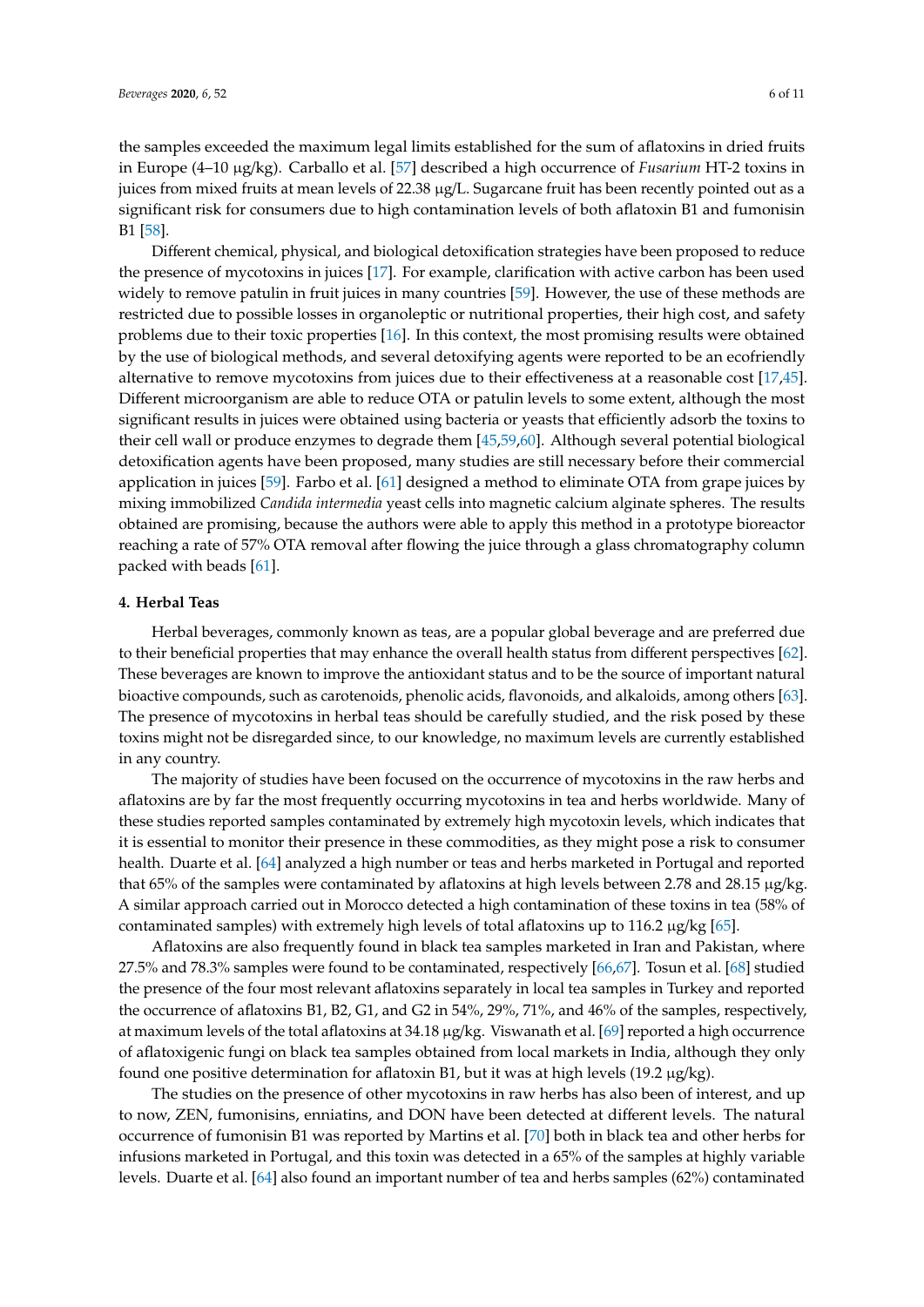the samples exceeded the maximum legal limits established for the sum of aflatoxins in dried fruits in Europe (4–10 µg/kg). Carballo et al. [\[57\]](#page-9-18) described a high occurrence of *Fusarium* HT-2 toxins in juices from mixed fruits at mean levels of 22.38 µg/L. Sugarcane fruit has been recently pointed out as a significant risk for consumers due to high contamination levels of both aflatoxin B1 and fumonisin B1 [\[58\]](#page-9-19).

Different chemical, physical, and biological detoxification strategies have been proposed to reduce the presence of mycotoxins in juices [\[17\]](#page-7-14). For example, clarification with active carbon has been used widely to remove patulin in fruit juices in many countries [\[59\]](#page-9-20). However, the use of these methods are restricted due to possible losses in organoleptic or nutritional properties, their high cost, and safety problems due to their toxic properties [\[16\]](#page-7-15). In this context, the most promising results were obtained by the use of biological methods, and several detoxifying agents were reported to be an ecofriendly alternative to remove mycotoxins from juices due to their effectiveness at a reasonable cost [\[17,](#page-7-14)[45\]](#page-9-6). Different microorganism are able to reduce OTA or patulin levels to some extent, although the most significant results in juices were obtained using bacteria or yeasts that efficiently adsorb the toxins to their cell wall or produce enzymes to degrade them [\[45](#page-9-6)[,59](#page-9-20)[,60\]](#page-9-21). Although several potential biological detoxification agents have been proposed, many studies are still necessary before their commercial application in juices [\[59\]](#page-9-20). Farbo et al. [\[61\]](#page-10-0) designed a method to eliminate OTA from grape juices by mixing immobilized *Candida intermedia* yeast cells into magnetic calcium alginate spheres. The results obtained are promising, because the authors were able to apply this method in a prototype bioreactor reaching a rate of 57% OTA removal after flowing the juice through a glass chromatography column packed with beads [\[61\]](#page-10-0).

# **4. Herbal Teas**

Herbal beverages, commonly known as teas, are a popular global beverage and are preferred due to their beneficial properties that may enhance the overall health status from different perspectives [\[62\]](#page-10-1). These beverages are known to improve the antioxidant status and to be the source of important natural bioactive compounds, such as carotenoids, phenolic acids, flavonoids, and alkaloids, among others [\[63\]](#page-10-2). The presence of mycotoxins in herbal teas should be carefully studied, and the risk posed by these toxins might not be disregarded since, to our knowledge, no maximum levels are currently established in any country.

The majority of studies have been focused on the occurrence of mycotoxins in the raw herbs and aflatoxins are by far the most frequently occurring mycotoxins in tea and herbs worldwide. Many of these studies reported samples contaminated by extremely high mycotoxin levels, which indicates that it is essential to monitor their presence in these commodities, as they might pose a risk to consumer health. Duarte et al. [\[64\]](#page-10-3) analyzed a high number or teas and herbs marketed in Portugal and reported that 65% of the samples were contaminated by aflatoxins at high levels between 2.78 and 28.15 µg/kg. A similar approach carried out in Morocco detected a high contamination of these toxins in tea (58% of contaminated samples) with extremely high levels of total aflatoxins up to 116.2  $\mu$ g/kg [\[65\]](#page-10-4).

Aflatoxins are also frequently found in black tea samples marketed in Iran and Pakistan, where 27.5% and 78.3% samples were found to be contaminated, respectively [\[66,](#page-10-5)[67\]](#page-10-6). Tosun et al. [\[68\]](#page-10-7) studied the presence of the four most relevant aflatoxins separately in local tea samples in Turkey and reported the occurrence of aflatoxins B1, B2, G1, and G2 in 54%, 29%, 71%, and 46% of the samples, respectively, at maximum levels of the total aflatoxins at 34.18 µg/kg. Viswanath et al. [\[69\]](#page-10-8) reported a high occurrence of aflatoxigenic fungi on black tea samples obtained from local markets in India, although they only found one positive determination for aflatoxin B1, but it was at high levels (19.2  $\mu$ g/kg).

The studies on the presence of other mycotoxins in raw herbs has also been of interest, and up to now, ZEN, fumonisins, enniatins, and DON have been detected at different levels. The natural occurrence of fumonisin B1 was reported by Martins et al. [\[70\]](#page-10-9) both in black tea and other herbs for infusions marketed in Portugal, and this toxin was detected in a 65% of the samples at highly variable levels. Duarte et al. [\[64\]](#page-10-3) also found an important number of tea and herbs samples (62%) contaminated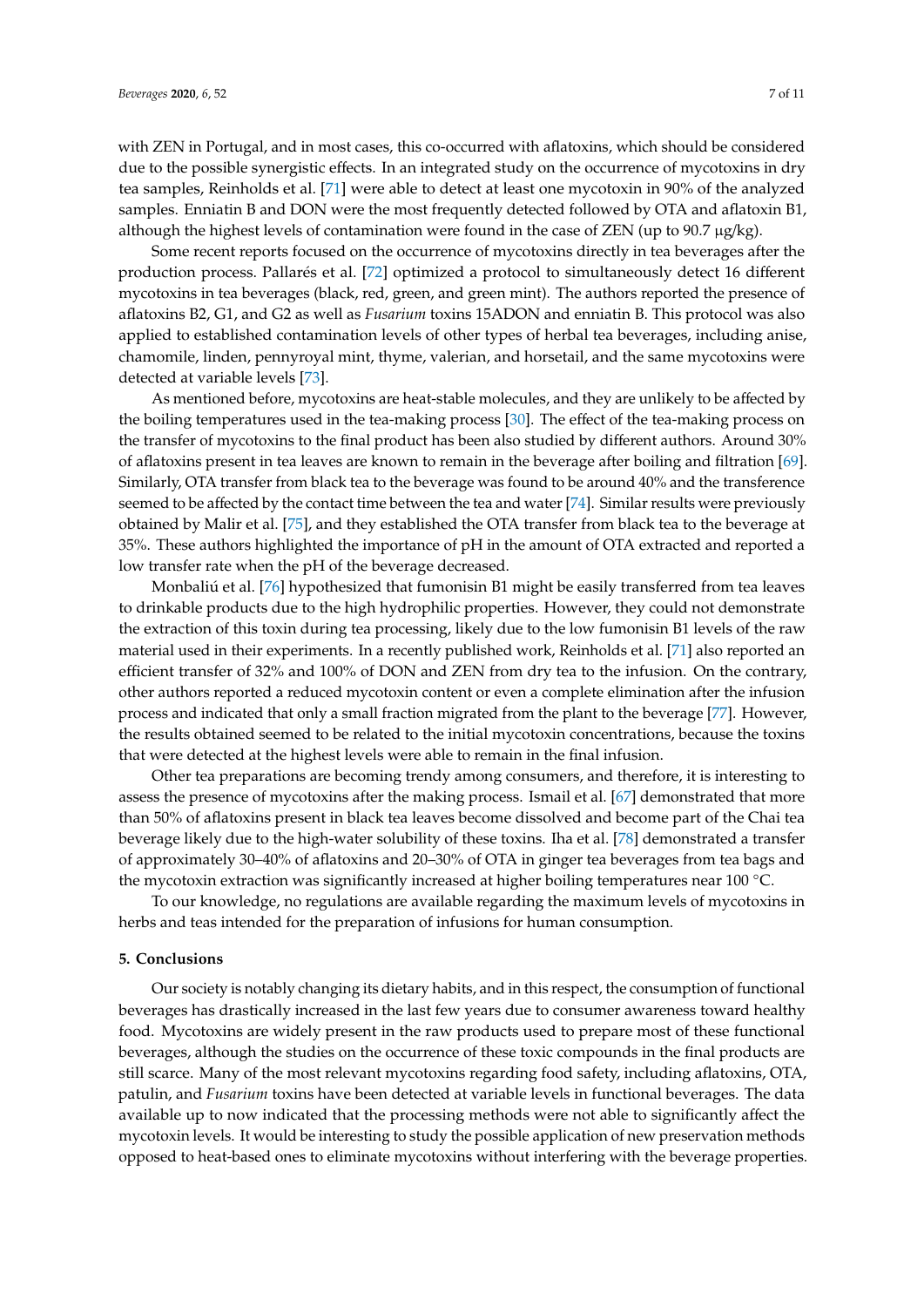with ZEN in Portugal, and in most cases, this co-occurred with aflatoxins, which should be considered due to the possible synergistic effects. In an integrated study on the occurrence of mycotoxins in dry tea samples, Reinholds et al. [\[71\]](#page-10-10) were able to detect at least one mycotoxin in 90% of the analyzed samples. Enniatin B and DON were the most frequently detected followed by OTA and aflatoxin B1, although the highest levels of contamination were found in the case of ZEN (up to  $90.7 \mu g/kg$ ).

Some recent reports focused on the occurrence of mycotoxins directly in tea beverages after the production process. Pallarés et al. [\[72\]](#page-10-11) optimized a protocol to simultaneously detect 16 different mycotoxins in tea beverages (black, red, green, and green mint). The authors reported the presence of aflatoxins B2, G1, and G2 as well as *Fusarium* toxins 15ADON and enniatin B. This protocol was also applied to established contamination levels of other types of herbal tea beverages, including anise, chamomile, linden, pennyroyal mint, thyme, valerian, and horsetail, and the same mycotoxins were detected at variable levels [\[73\]](#page-10-12).

As mentioned before, mycotoxins are heat-stable molecules, and they are unlikely to be affected by the boiling temperatures used in the tea-making process [\[30\]](#page-8-11). The effect of the tea-making process on the transfer of mycotoxins to the final product has been also studied by different authors. Around 30% of aflatoxins present in tea leaves are known to remain in the beverage after boiling and filtration [\[69\]](#page-10-8). Similarly, OTA transfer from black tea to the beverage was found to be around 40% and the transference seemed to be affected by the contact time between the tea and water [\[74\]](#page-10-13). Similar results were previously obtained by Malir et al. [\[75\]](#page-10-14), and they established the OTA transfer from black tea to the beverage at 35%. These authors highlighted the importance of pH in the amount of OTA extracted and reported a low transfer rate when the pH of the beverage decreased.

Monbaliú et al. [\[76\]](#page-10-15) hypothesized that fumonisin B1 might be easily transferred from tea leaves to drinkable products due to the high hydrophilic properties. However, they could not demonstrate the extraction of this toxin during tea processing, likely due to the low fumonisin B1 levels of the raw material used in their experiments. In a recently published work, Reinholds et al. [\[71\]](#page-10-10) also reported an efficient transfer of 32% and 100% of DON and ZEN from dry tea to the infusion. On the contrary, other authors reported a reduced mycotoxin content or even a complete elimination after the infusion process and indicated that only a small fraction migrated from the plant to the beverage [\[77\]](#page-10-16). However, the results obtained seemed to be related to the initial mycotoxin concentrations, because the toxins that were detected at the highest levels were able to remain in the final infusion.

Other tea preparations are becoming trendy among consumers, and therefore, it is interesting to assess the presence of mycotoxins after the making process. Ismail et al. [\[67\]](#page-10-6) demonstrated that more than 50% of aflatoxins present in black tea leaves become dissolved and become part of the Chai tea beverage likely due to the high-water solubility of these toxins. Iha et al. [\[78\]](#page-10-17) demonstrated a transfer of approximately 30–40% of aflatoxins and 20–30% of OTA in ginger tea beverages from tea bags and the mycotoxin extraction was significantly increased at higher boiling temperatures near 100 °C.

To our knowledge, no regulations are available regarding the maximum levels of mycotoxins in herbs and teas intended for the preparation of infusions for human consumption.

#### **5. Conclusions**

Our society is notably changing its dietary habits, and in this respect, the consumption of functional beverages has drastically increased in the last few years due to consumer awareness toward healthy food. Mycotoxins are widely present in the raw products used to prepare most of these functional beverages, although the studies on the occurrence of these toxic compounds in the final products are still scarce. Many of the most relevant mycotoxins regarding food safety, including aflatoxins, OTA, patulin, and *Fusarium* toxins have been detected at variable levels in functional beverages. The data available up to now indicated that the processing methods were not able to significantly affect the mycotoxin levels. It would be interesting to study the possible application of new preservation methods opposed to heat-based ones to eliminate mycotoxins without interfering with the beverage properties.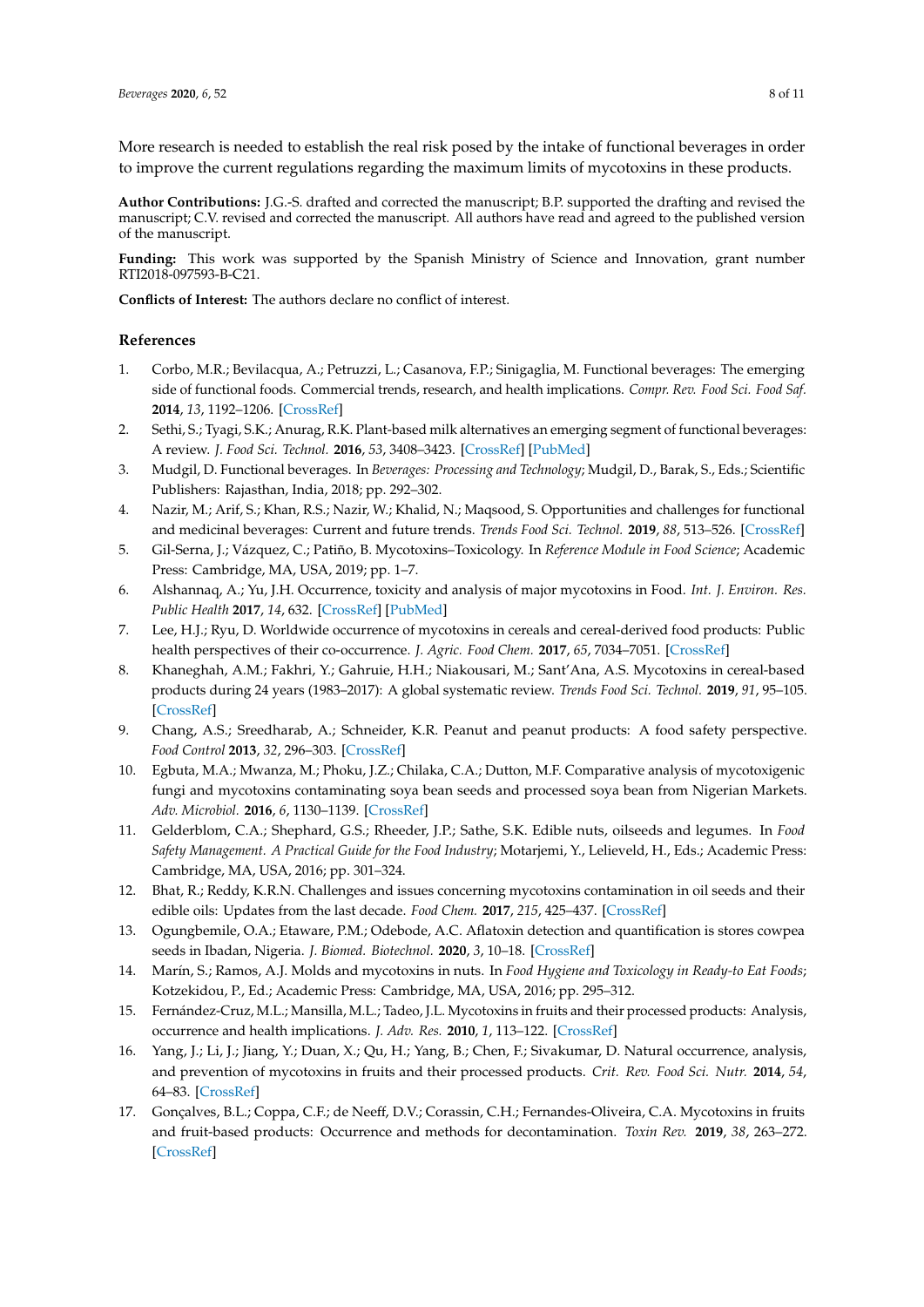More research is needed to establish the real risk posed by the intake of functional beverages in order to improve the current regulations regarding the maximum limits of mycotoxins in these products.

**Author Contributions:** J.G.-S. drafted and corrected the manuscript; B.P. supported the drafting and revised the manuscript; C.V. revised and corrected the manuscript. All authors have read and agreed to the published version of the manuscript.

**Funding:** This work was supported by the Spanish Ministry of Science and Innovation, grant number RTI2018-097593-B-C21.

**Conflicts of Interest:** The authors declare no conflict of interest.

# **References**

- <span id="page-7-0"></span>1. Corbo, M.R.; Bevilacqua, A.; Petruzzi, L.; Casanova, F.P.; Sinigaglia, M. Functional beverages: The emerging side of functional foods. Commercial trends, research, and health implications. *Compr. Rev. Food Sci. Food Saf.* **2014**, *13*, 1192–1206. [\[CrossRef\]](http://dx.doi.org/10.1111/1541-4337.12109)
- <span id="page-7-1"></span>2. Sethi, S.; Tyagi, S.K.; Anurag, R.K. Plant-based milk alternatives an emerging segment of functional beverages: A review. *J. Food Sci. Technol.* **2016**, *53*, 3408–3423. [\[CrossRef\]](http://dx.doi.org/10.1007/s13197-016-2328-3) [\[PubMed\]](http://www.ncbi.nlm.nih.gov/pubmed/27777447)
- <span id="page-7-2"></span>3. Mudgil, D. Functional beverages. In *Beverages: Processing and Technology*; Mudgil, D., Barak, S., Eds.; Scientific Publishers: Rajasthan, India, 2018; pp. 292–302.
- <span id="page-7-3"></span>4. Nazir, M.; Arif, S.; Khan, R.S.; Nazir, W.; Khalid, N.; Maqsood, S. Opportunities and challenges for functional and medicinal beverages: Current and future trends. *Trends Food Sci. Technol.* **2019**, *88*, 513–526. [\[CrossRef\]](http://dx.doi.org/10.1016/j.tifs.2019.04.011)
- <span id="page-7-4"></span>5. Gil-Serna, J.; Vázquez, C.; Patiño, B. Mycotoxins–Toxicology. In *Reference Module in Food Science*; Academic Press: Cambridge, MA, USA, 2019; pp. 1–7.
- <span id="page-7-5"></span>6. Alshannaq, A.; Yu, J.H. Occurrence, toxicity and analysis of major mycotoxins in Food. *Int. J. Environ. Res. Public Health* **2017**, *14*, 632. [\[CrossRef\]](http://dx.doi.org/10.3390/ijerph14060632) [\[PubMed\]](http://www.ncbi.nlm.nih.gov/pubmed/28608841)
- <span id="page-7-6"></span>7. Lee, H.J.; Ryu, D. Worldwide occurrence of mycotoxins in cereals and cereal-derived food products: Public health perspectives of their co-occurrence. *J. Agric. Food Chem.* **2017**, *65*, 7034–7051. [\[CrossRef\]](http://dx.doi.org/10.1021/acs.jafc.6b04847)
- <span id="page-7-7"></span>8. Khaneghah, A.M.; Fakhri, Y.; Gahruie, H.H.; Niakousari, M.; Sant'Ana, A.S. Mycotoxins in cereal-based products during 24 years (1983–2017): A global systematic review. *Trends Food Sci. Technol.* **2019**, *91*, 95–105. [\[CrossRef\]](http://dx.doi.org/10.1016/j.tifs.2019.06.007)
- <span id="page-7-8"></span>9. Chang, A.S.; Sreedharab, A.; Schneider, K.R. Peanut and peanut products: A food safety perspective. *Food Control* **2013**, *32*, 296–303. [\[CrossRef\]](http://dx.doi.org/10.1016/j.foodcont.2012.12.007)
- 10. Egbuta, M.A.; Mwanza, M.; Phoku, J.Z.; Chilaka, C.A.; Dutton, M.F. Comparative analysis of mycotoxigenic fungi and mycotoxins contaminating soya bean seeds and processed soya bean from Nigerian Markets. *Adv. Microbiol.* **2016**, *6*, 1130–1139. [\[CrossRef\]](http://dx.doi.org/10.4236/aim.2016.614102)
- <span id="page-7-10"></span>11. Gelderblom, C.A.; Shephard, G.S.; Rheeder, J.P.; Sathe, S.K. Edible nuts, oilseeds and legumes. In *Food Safety Management. A Practical Guide for the Food Industry*; Motarjemi, Y., Lelieveld, H., Eds.; Academic Press: Cambridge, MA, USA, 2016; pp. 301–324.
- <span id="page-7-11"></span>12. Bhat, R.; Reddy, K.R.N. Challenges and issues concerning mycotoxins contamination in oil seeds and their edible oils: Updates from the last decade. *Food Chem.* **2017**, *215*, 425–437. [\[CrossRef\]](http://dx.doi.org/10.1016/j.foodchem.2016.07.161)
- <span id="page-7-9"></span>13. Ogungbemile, O.A.; Etaware, P.M.; Odebode, A.C. Aflatoxin detection and quantification is stores cowpea seeds in Ibadan, Nigeria. *J. Biomed. Biotechnol.* **2020**, *3*, 10–18. [\[CrossRef\]](http://dx.doi.org/10.26502/jbb.2642-91280022)
- <span id="page-7-12"></span>14. Marín, S.; Ramos, A.J. Molds and mycotoxins in nuts. In *Food Hygiene and Toxicology in Ready-to Eat Foods*; Kotzekidou, P., Ed.; Academic Press: Cambridge, MA, USA, 2016; pp. 295–312.
- <span id="page-7-13"></span>15. Fernández-Cruz, M.L.; Mansilla, M.L.; Tadeo, J.L. Mycotoxins in fruits and their processed products: Analysis, occurrence and health implications. *J. Adv. Res.* **2010**, *1*, 113–122. [\[CrossRef\]](http://dx.doi.org/10.1016/j.jare.2010.03.002)
- <span id="page-7-15"></span>16. Yang, J.; Li, J.; Jiang, Y.; Duan, X.; Qu, H.; Yang, B.; Chen, F.; Sivakumar, D. Natural occurrence, analysis, and prevention of mycotoxins in fruits and their processed products. *Crit. Rev. Food Sci. Nutr.* **2014**, *54*, 64–83. [\[CrossRef\]](http://dx.doi.org/10.1080/10408398.2011.569860)
- <span id="page-7-14"></span>17. Gonçalves, B.L.; Coppa, C.F.; de Neeff, D.V.; Corassin, C.H.; Fernandes-Oliveira, C.A. Mycotoxins in fruits and fruit-based products: Occurrence and methods for decontamination. *Toxin Rev.* **2019**, *38*, 263–272. [\[CrossRef\]](http://dx.doi.org/10.1080/15569543.2018.1457056)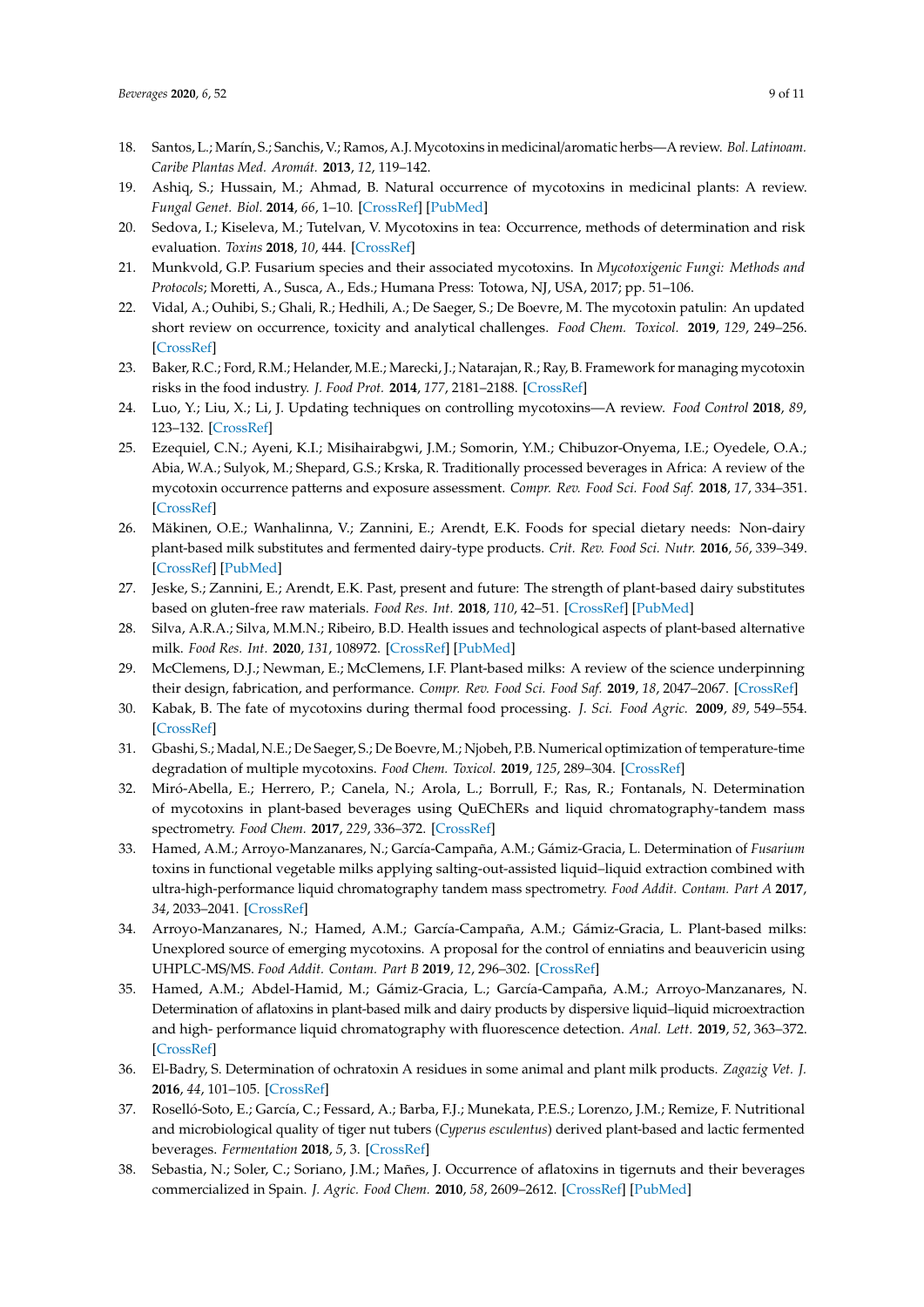- <span id="page-8-0"></span>18. Santos, L.; Marín, S.; Sanchis, V.; Ramos, A.J. Mycotoxins in medicinal/aromatic herbs—A review. *Bol. Latinoam. Caribe Plantas Med. Aromát.* **2013**, *12*, 119–142.
- 19. Ashiq, S.; Hussain, M.; Ahmad, B. Natural occurrence of mycotoxins in medicinal plants: A review. *Fungal Genet. Biol.* **2014**, *66*, 1–10. [\[CrossRef\]](http://dx.doi.org/10.1016/j.fgb.2014.02.005) [\[PubMed\]](http://www.ncbi.nlm.nih.gov/pubmed/24594211)
- <span id="page-8-1"></span>20. Sedova, I.; Kiseleva, M.; Tutelvan, V. Mycotoxins in tea: Occurrence, methods of determination and risk evaluation. *Toxins* **2018**, *10*, 444. [\[CrossRef\]](http://dx.doi.org/10.3390/toxins10110444)
- <span id="page-8-2"></span>21. Munkvold, G.P. Fusarium species and their associated mycotoxins. In *Mycotoxigenic Fungi: Methods and Protocols*; Moretti, A., Susca, A., Eds.; Humana Press: Totowa, NJ, USA, 2017; pp. 51–106.
- <span id="page-8-3"></span>22. Vidal, A.; Ouhibi, S.; Ghali, R.; Hedhili, A.; De Saeger, S.; De Boevre, M. The mycotoxin patulin: An updated short review on occurrence, toxicity and analytical challenges. *Food Chem. Toxicol.* **2019**, *129*, 249–256. [\[CrossRef\]](http://dx.doi.org/10.1016/j.fct.2019.04.048)
- <span id="page-8-4"></span>23. Baker, R.C.; Ford, R.M.; Helander, M.E.; Marecki, J.; Natarajan, R.; Ray, B. Framework for managing mycotoxin risks in the food industry. *J. Food Prot.* **2014**, *177*, 2181–2188. [\[CrossRef\]](http://dx.doi.org/10.4315/0362-028X.JFP-14-060)
- <span id="page-8-5"></span>24. Luo, Y.; Liu, X.; Li, J. Updating techniques on controlling mycotoxins—A review. *Food Control* **2018**, *89*, 123–132. [\[CrossRef\]](http://dx.doi.org/10.1016/j.foodcont.2018.01.016)
- <span id="page-8-6"></span>25. Ezequiel, C.N.; Ayeni, K.I.; Misihairabgwi, J.M.; Somorin, Y.M.; Chibuzor-Onyema, I.E.; Oyedele, O.A.; Abia, W.A.; Sulyok, M.; Shepard, G.S.; Krska, R. Traditionally processed beverages in Africa: A review of the mycotoxin occurrence patterns and exposure assessment. *Compr. Rev. Food Sci. Food Saf.* **2018**, *17*, 334–351. [\[CrossRef\]](http://dx.doi.org/10.1111/1541-4337.12329)
- <span id="page-8-7"></span>26. Mäkinen, O.E.; Wanhalinna, V.; Zannini, E.; Arendt, E.K. Foods for special dietary needs: Non-dairy plant-based milk substitutes and fermented dairy-type products. *Crit. Rev. Food Sci. Nutr.* **2016**, *56*, 339–349. [\[CrossRef\]](http://dx.doi.org/10.1080/10408398.2012.761950) [\[PubMed\]](http://www.ncbi.nlm.nih.gov/pubmed/25575046)
- <span id="page-8-8"></span>27. Jeske, S.; Zannini, E.; Arendt, E.K. Past, present and future: The strength of plant-based dairy substitutes based on gluten-free raw materials. *Food Res. Int.* **2018**, *110*, 42–51. [\[CrossRef\]](http://dx.doi.org/10.1016/j.foodres.2017.03.045) [\[PubMed\]](http://www.ncbi.nlm.nih.gov/pubmed/30029705)
- <span id="page-8-9"></span>28. Silva, A.R.A.; Silva, M.M.N.; Ribeiro, B.D. Health issues and technological aspects of plant-based alternative milk. *Food Res. Int.* **2020**, *131*, 108972. [\[CrossRef\]](http://dx.doi.org/10.1016/j.foodres.2019.108972) [\[PubMed\]](http://www.ncbi.nlm.nih.gov/pubmed/32247441)
- <span id="page-8-10"></span>29. McClemens, D.J.; Newman, E.; McClemens, I.F. Plant-based milks: A review of the science underpinning their design, fabrication, and performance. *Compr. Rev. Food Sci. Food Saf.* **2019**, *18*, 2047–2067. [\[CrossRef\]](http://dx.doi.org/10.1111/1541-4337.12505)
- <span id="page-8-11"></span>30. Kabak, B. The fate of mycotoxins during thermal food processing. *J. Sci. Food Agric.* **2009**, *89*, 549–554. [\[CrossRef\]](http://dx.doi.org/10.1002/jsfa.3491)
- <span id="page-8-12"></span>31. Gbashi, S.; Madal, N.E.; De Saeger, S.; De Boevre, M.; Njobeh, P.B. Numerical optimization of temperature-time degradation of multiple mycotoxins. *Food Chem. Toxicol.* **2019**, *125*, 289–304. [\[CrossRef\]](http://dx.doi.org/10.1016/j.fct.2019.01.009)
- <span id="page-8-13"></span>32. Miró-Abella, E.; Herrero, P.; Canela, N.; Arola, L.; Borrull, F.; Ras, R.; Fontanals, N. Determination of mycotoxins in plant-based beverages using QuEChERs and liquid chromatography-tandem mass spectrometry. *Food Chem.* **2017**, *229*, 336–372. [\[CrossRef\]](http://dx.doi.org/10.1016/j.foodchem.2017.02.078)
- <span id="page-8-15"></span>33. Hamed, A.M.; Arroyo-Manzanares, N.; García-Campaña, A.M.; Gámiz-Gracia, L. Determination of *Fusarium* toxins in functional vegetable milks applying salting-out-assisted liquid–liquid extraction combined with ultra-high-performance liquid chromatography tandem mass spectrometry. *Food Addit. Contam. Part A* **2017**, *34*, 2033–2041. [\[CrossRef\]](http://dx.doi.org/10.1080/19440049.2017.1368722)
- <span id="page-8-16"></span>34. Arroyo-Manzanares, N.; Hamed, A.M.; García-Campaña, A.M.; Gámiz-Gracia, L. Plant-based milks: Unexplored source of emerging mycotoxins. A proposal for the control of enniatins and beauvericin using UHPLC-MS/MS. *Food Addit. Contam. Part B* **2019**, *12*, 296–302. [\[CrossRef\]](http://dx.doi.org/10.1080/19393210.2019.1663276)
- <span id="page-8-14"></span>35. Hamed, A.M.; Abdel-Hamid, M.; Gámiz-Gracia, L.; García-Campaña, A.M.; Arroyo-Manzanares, N. Determination of aflatoxins in plant-based milk and dairy products by dispersive liquid–liquid microextraction and high- performance liquid chromatography with fluorescence detection. *Anal. Lett.* **2019**, *52*, 363–372. [\[CrossRef\]](http://dx.doi.org/10.1080/00032719.2018.1467434)
- <span id="page-8-17"></span>36. El-Badry, S. Determination of ochratoxin A residues in some animal and plant milk products. *Zagazig Vet. J.* **2016**, *44*, 101–105. [\[CrossRef\]](http://dx.doi.org/10.21608/zvjz.2016.7852)
- <span id="page-8-18"></span>37. Roselló-Soto, E.; García, C.; Fessard, A.; Barba, F.J.; Munekata, P.E.S.; Lorenzo, J.M.; Remize, F. Nutritional and microbiological quality of tiger nut tubers (*Cyperus esculentus*) derived plant-based and lactic fermented beverages. *Fermentation* **2018**, *5*, 3. [\[CrossRef\]](http://dx.doi.org/10.3390/fermentation5010003)
- <span id="page-8-19"></span>38. Sebastia, N.; Soler, C.; Soriano, J.M.; Mañes, J. Occurrence of aflatoxins in tigernuts and their beverages commercialized in Spain. *J. Agric. Food Chem.* **2010**, *58*, 2609–2612. [\[CrossRef\]](http://dx.doi.org/10.1021/jf903818x) [\[PubMed\]](http://www.ncbi.nlm.nih.gov/pubmed/20078078)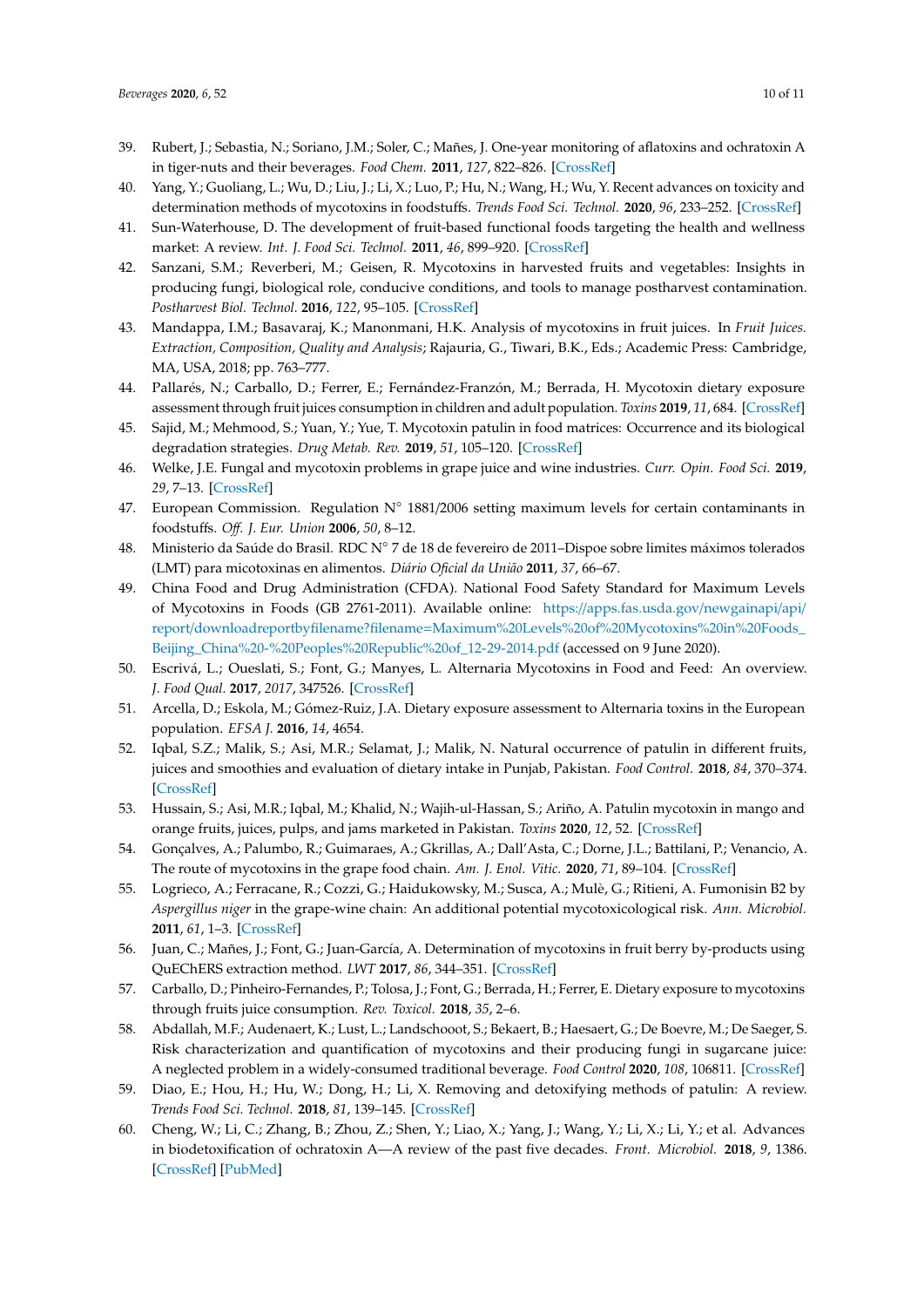- <span id="page-9-0"></span>39. Rubert, J.; Sebastia, N.; Soriano, J.M.; Soler, C.; Mañes, J. One-year monitoring of aflatoxins and ochratoxin A in tiger-nuts and their beverages. *Food Chem.* **2011**, *127*, 822–826. [\[CrossRef\]](http://dx.doi.org/10.1016/j.foodchem.2011.01.016)
- <span id="page-9-1"></span>40. Yang, Y.; Guoliang, L.; Wu, D.; Liu, J.; Li, X.; Luo, P.; Hu, N.; Wang, H.; Wu, Y. Recent advances on toxicity and determination methods of mycotoxins in foodstuffs. *Trends Food Sci. Technol.* **2020**, *96*, 233–252. [\[CrossRef\]](http://dx.doi.org/10.1016/j.tifs.2019.12.021)
- <span id="page-9-2"></span>41. Sun-Waterhouse, D. The development of fruit-based functional foods targeting the health and wellness market: A review. *Int. J. Food Sci. Technol.* **2011**, *46*, 899–920. [\[CrossRef\]](http://dx.doi.org/10.1111/j.1365-2621.2010.02499.x)
- <span id="page-9-3"></span>42. Sanzani, S.M.; Reverberi, M.; Geisen, R. Mycotoxins in harvested fruits and vegetables: Insights in producing fungi, biological role, conducive conditions, and tools to manage postharvest contamination. *Postharvest Biol. Technol.* **2016**, *122*, 95–105. [\[CrossRef\]](http://dx.doi.org/10.1016/j.postharvbio.2016.07.003)
- <span id="page-9-4"></span>43. Mandappa, I.M.; Basavaraj, K.; Manonmani, H.K. Analysis of mycotoxins in fruit juices. In *Fruit Juices. Extraction, Composition, Quality and Analysis*; Rajauria, G., Tiwari, B.K., Eds.; Academic Press: Cambridge, MA, USA, 2018; pp. 763–777.
- <span id="page-9-5"></span>44. Pallarés, N.; Carballo, D.; Ferrer, E.; Fernández-Franzón, M.; Berrada, H. Mycotoxin dietary exposure assessment through fruit juices consumption in children and adult population. *Toxins* **2019**, *11*, 684. [\[CrossRef\]](http://dx.doi.org/10.3390/toxins11120684)
- <span id="page-9-6"></span>45. Sajid, M.; Mehmood, S.; Yuan, Y.; Yue, T. Mycotoxin patulin in food matrices: Occurrence and its biological degradation strategies. *Drug Metab. Rev.* **2019**, *51*, 105–120. [\[CrossRef\]](http://dx.doi.org/10.1080/03602532.2019.1589493)
- <span id="page-9-7"></span>46. Welke, J.E. Fungal and mycotoxin problems in grape juice and wine industries. *Curr. Opin. Food Sci.* **2019**, *29*, 7–13. [\[CrossRef\]](http://dx.doi.org/10.1016/j.cofs.2019.06.009)
- <span id="page-9-8"></span>47. European Commission. Regulation N◦ 1881/2006 setting maximum levels for certain contaminants in foodstuffs. *O*ff*. J. Eur. Union* **2006**, *50*, 8–12.
- <span id="page-9-9"></span>48. Ministerio da Saúde do Brasil. RDC N◦ 7 de 18 de fevereiro de 2011–Dispoe sobre limites máximos tolerados (LMT) para micotoxinas en alimentos. *Diário Oficial da União* **2011**, *37*, 66–67.
- <span id="page-9-10"></span>49. China Food and Drug Administration (CFDA). National Food Safety Standard for Maximum Levels of Mycotoxins in Foods (GB 2761-2011). Available online: https://[apps.fas.usda.gov](https://apps.fas.usda.gov/newgainapi/api/report/downloadreportbyfilename?filename=Maximum%20Levels%20of%20Mycotoxins%20in%20Foods_Beijing_China%20-%20Peoples%20Republic%20of_12-29-2014.pdf)/newgainapi/api/ report/downloadreportbyfilename?filename=[Maximum%20Levels%20of%20Mycotoxins%20in%20Foods\\_](https://apps.fas.usda.gov/newgainapi/api/report/downloadreportbyfilename?filename=Maximum%20Levels%20of%20Mycotoxins%20in%20Foods_Beijing_China%20-%20Peoples%20Republic%20of_12-29-2014.pdf) [Beijing\\_China%20-%20Peoples%20Republic%20of\\_12-29-2014.pdf](https://apps.fas.usda.gov/newgainapi/api/report/downloadreportbyfilename?filename=Maximum%20Levels%20of%20Mycotoxins%20in%20Foods_Beijing_China%20-%20Peoples%20Republic%20of_12-29-2014.pdf) (accessed on 9 June 2020).
- <span id="page-9-11"></span>50. Escrivá, L.; Oueslati, S.; Font, G.; Manyes, L. Alternaria Mycotoxins in Food and Feed: An overview. *J. Food Qual.* **2017**, *2017*, 347526. [\[CrossRef\]](http://dx.doi.org/10.1155/2017/1569748)
- <span id="page-9-12"></span>51. Arcella, D.; Eskola, M.; Gómez-Ruiz, J.A. Dietary exposure assessment to Alternaria toxins in the European population. *EFSA J.* **2016**, *14*, 4654.
- <span id="page-9-13"></span>52. Iqbal, S.Z.; Malik, S.; Asi, M.R.; Selamat, J.; Malik, N. Natural occurrence of patulin in different fruits, juices and smoothies and evaluation of dietary intake in Punjab, Pakistan. *Food Control.* **2018**, *84*, 370–374. [\[CrossRef\]](http://dx.doi.org/10.1016/j.foodcont.2017.08.024)
- <span id="page-9-14"></span>53. Hussain, S.; Asi, M.R.; Iqbal, M.; Khalid, N.; Wajih-ul-Hassan, S.; Ariño, A. Patulin mycotoxin in mango and orange fruits, juices, pulps, and jams marketed in Pakistan. *Toxins* **2020**, *12*, 52. [\[CrossRef\]](http://dx.doi.org/10.3390/toxins12010052)
- <span id="page-9-15"></span>54. Gonçalves, A.; Palumbo, R.; Guimaraes, A.; Gkrillas, A.; Dall'Asta, C.; Dorne, J.L.; Battilani, P.; Venancio, A. The route of mycotoxins in the grape food chain. *Am. J. Enol. Vitic.* **2020**, *71*, 89–104. [\[CrossRef\]](http://dx.doi.org/10.5344/ajev.2019.19039)
- <span id="page-9-16"></span>55. Logrieco, A.; Ferracane, R.; Cozzi, G.; Haidukowsky, M.; Susca, A.; Mulè, G.; Ritieni, A. Fumonisin B2 by *Aspergillus niger* in the grape-wine chain: An additional potential mycotoxicological risk. *Ann. Microbiol.* **2011**, *61*, 1–3. [\[CrossRef\]](http://dx.doi.org/10.1007/s13213-010-0133-1)
- <span id="page-9-17"></span>56. Juan, C.; Mañes, J.; Font, G.; Juan-García, A. Determination of mycotoxins in fruit berry by-products using QuEChERS extraction method. *LWT* **2017**, *86*, 344–351. [\[CrossRef\]](http://dx.doi.org/10.1016/j.lwt.2017.08.020)
- <span id="page-9-18"></span>57. Carballo, D.; Pinheiro-Fernandes, P.; Tolosa, J.; Font, G.; Berrada, H.; Ferrer, E. Dietary exposure to mycotoxins through fruits juice consumption. *Rev. Toxicol.* **2018**, *35*, 2–6.
- <span id="page-9-19"></span>58. Abdallah, M.F.; Audenaert, K.; Lust, L.; Landschooot, S.; Bekaert, B.; Haesaert, G.; De Boevre, M.; De Saeger, S. Risk characterization and quantification of mycotoxins and their producing fungi in sugarcane juice: A neglected problem in a widely-consumed traditional beverage. *Food Control* **2020**, *108*, 106811. [\[CrossRef\]](http://dx.doi.org/10.1016/j.foodcont.2019.106811)
- <span id="page-9-20"></span>59. Diao, E.; Hou, H.; Hu, W.; Dong, H.; Li, X. Removing and detoxifying methods of patulin: A review. *Trends Food Sci. Technol.* **2018**, *81*, 139–145. [\[CrossRef\]](http://dx.doi.org/10.1016/j.tifs.2018.09.016)
- <span id="page-9-21"></span>60. Cheng, W.; Li, C.; Zhang, B.; Zhou, Z.; Shen, Y.; Liao, X.; Yang, J.; Wang, Y.; Li, X.; Li, Y.; et al. Advances in biodetoxification of ochratoxin A—A review of the past five decades. *Front. Microbiol.* **2018**, *9*, 1386. [\[CrossRef\]](http://dx.doi.org/10.3389/fmicb.2018.01386) [\[PubMed\]](http://www.ncbi.nlm.nih.gov/pubmed/29997599)